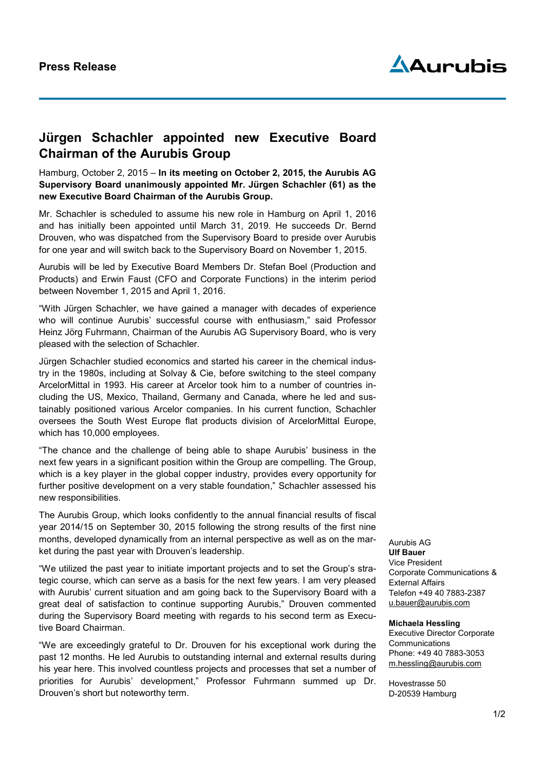

# **Jürgen Schachler appointed new Executive Board Chairman of the Aurubis Group**

Hamburg, October 2, 2015 – **In its meeting on October 2, 2015, the Aurubis AG Supervisory Board unanimously appointed Mr. Jürgen Schachler (61) as the new Executive Board Chairman of the Aurubis Group.** 

Mr. Schachler is scheduled to assume his new role in Hamburg on April 1, 2016 and has initially been appointed until March 31, 2019. He succeeds Dr. Bernd Drouven, who was dispatched from the Supervisory Board to preside over Aurubis for one year and will switch back to the Supervisory Board on November 1, 2015.

Aurubis will be led by Executive Board Members Dr. Stefan Boel (Production and Products) and Erwin Faust (CFO and Corporate Functions) in the interim period between November 1, 2015 and April 1, 2016.

"With Jürgen Schachler, we have gained a manager with decades of experience who will continue Aurubis' successful course with enthusiasm," said Professor Heinz Jörg Fuhrmann, Chairman of the Aurubis AG Supervisory Board, who is very pleased with the selection of Schachler.

Jürgen Schachler studied economics and started his career in the chemical industry in the 1980s, including at Solvay & Cie, before switching to the steel company ArcelorMittal in 1993. His career at Arcelor took him to a number of countries including the US, Mexico, Thailand, Germany and Canada, where he led and sustainably positioned various Arcelor companies. In his current function, Schachler oversees the South West Europe flat products division of ArcelorMittal Europe, which has 10,000 employees.

"The chance and the challenge of being able to shape Aurubis' business in the next few years in a significant position within the Group are compelling. The Group, which is a key player in the global copper industry, provides every opportunity for further positive development on a very stable foundation," Schachler assessed his new responsibilities.

The Aurubis Group, which looks confidently to the annual financial results of fiscal year 2014/15 on September 30, 2015 following the strong results of the first nine months, developed dynamically from an internal perspective as well as on the market during the past year with Drouven's leadership.

"We utilized the past year to initiate important projects and to set the Group's strategic course, which can serve as a basis for the next few years. I am very pleased with Aurubis' current situation and am going back to the Supervisory Board with a great deal of satisfaction to continue supporting Aurubis," Drouven commented during the Supervisory Board meeting with regards to his second term as Executive Board Chairman.

"We are exceedingly grateful to Dr. Drouven for his exceptional work during the past 12 months. He led Aurubis to outstanding internal and external results during his year here. This involved countless projects and processes that set a number of priorities for Aurubis' development," Professor Fuhrmann summed up Dr. Drouven's short but noteworthy term.

#### Aurubis AG **Ulf Bauer**

Vice President Corporate Communications & External Affairs Telefon +49 40 7883-2387 [u.bauer@aurubis.com](mailto:u.bauer@aurubis.com)

## **Michaela Hessling**

Executive Director Corporate **Communications** Phone: +49 40 7883-3053 [m.hessling@aurubis.com](mailto:m.hessling@aurubis.com)

Hovestrasse 50 D-20539 Hamburg